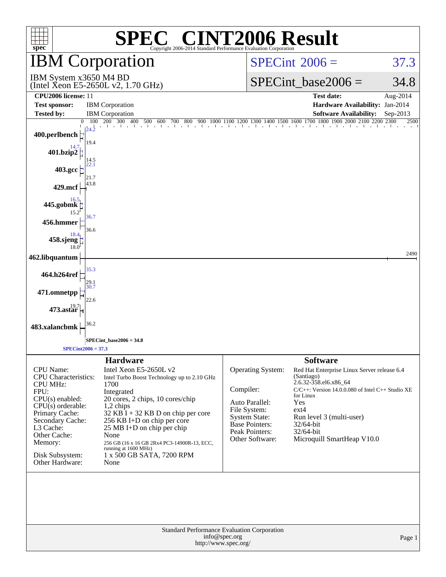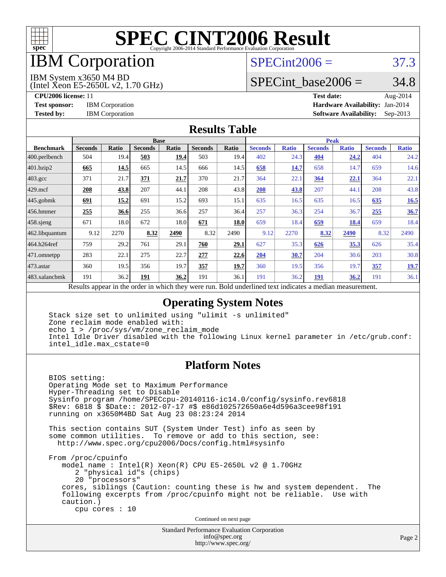

## IBM Corporation

### $SPECint2006 = 37.3$  $SPECint2006 = 37.3$

IBM System x3650 M4 BD

(Intel Xeon E5-2650L v2, 1.70 GHz)

SPECint base2006 =  $34.8$ 

**[CPU2006 license:](http://www.spec.org/auto/cpu2006/Docs/result-fields.html#CPU2006license)** 11 **[Test date:](http://www.spec.org/auto/cpu2006/Docs/result-fields.html#Testdate)** Aug-2014 **[Test sponsor:](http://www.spec.org/auto/cpu2006/Docs/result-fields.html#Testsponsor)** IBM Corporation **[Hardware Availability:](http://www.spec.org/auto/cpu2006/Docs/result-fields.html#HardwareAvailability)** Jan-2014 **[Tested by:](http://www.spec.org/auto/cpu2006/Docs/result-fields.html#Testedby)** IBM Corporation **[Software Availability:](http://www.spec.org/auto/cpu2006/Docs/result-fields.html#SoftwareAvailability)** Sep-2013

#### **[Results Table](http://www.spec.org/auto/cpu2006/Docs/result-fields.html#ResultsTable)**

|                                                                                                                                                | <b>Base</b>    |                 |                |       |                |        | <b>Peak</b>               |              |                |              |                |              |
|------------------------------------------------------------------------------------------------------------------------------------------------|----------------|-----------------|----------------|-------|----------------|--------|---------------------------|--------------|----------------|--------------|----------------|--------------|
| <b>Benchmark</b>                                                                                                                               | <b>Seconds</b> | <b>Ratio</b>    | <b>Seconds</b> | Ratio | <b>Seconds</b> | Ratio  | <b>Seconds</b>            | <b>Ratio</b> | <b>Seconds</b> | <b>Ratio</b> | <b>Seconds</b> | <b>Ratio</b> |
| 400.perlbench                                                                                                                                  | 504            | 19.4            | 503            | 19.4  | 503            | 19.4   | 402                       | 24.3         | 404            | 24.2         | 404            | 24.2         |
| 401.bzip2                                                                                                                                      | 665            | 14.5            | 665            | 14.5  | 666            | 14.5   | 658                       | 14.7         | 658            | 14.7         | 659            | 14.6         |
| $403.\mathrm{gcc}$                                                                                                                             | 371            | 21.7            | 371            | 21.7  | 370            | 21.7   | 364                       | 22.1         | 364            | 22.1         | 364            | 22.1         |
| $429$ .mcf                                                                                                                                     | 208            | 43.8            | 207            | 44.1  | 208            | 43.8   | 208                       | 43.8         | 207            | 44.1         | 208            | 43.8         |
|                                                                                                                                                | 691            | 15.2            | 691            | 15.2  | 693            | 15.1   | 635                       | 16.5         | 635            | 16.5         | 635            | 16.5         |
|                                                                                                                                                | 255            | 36.6            | 255            | 36.6  | 257            | 36.4   | 257                       | 36.3         | 254            | 36.7         | 255            | 36.7         |
|                                                                                                                                                | 671            | 18.0            | 672            | 18.0  | 671            | 18.0   | 659                       | 18.4         | 659            | 18.4         | 659            | 18.4         |
|                                                                                                                                                | 9.12           | 2270            | 8.32           | 2490  | 8.32           | 2490   | 9.12                      | 2270         | 8.32           | 2490         | 8.32           | 2490         |
|                                                                                                                                                | 759            | 29.2            | 761            | 29.1  | 760            | 29.1   | 627                       | 35.3         | 626            | 35.3         | 626            | 35.4         |
|                                                                                                                                                | 283            | 22.1            | 275            | 22.7  | 277            | 22.6   | 204                       | 30.7         | 204            | 30.6         | 203            | 30.8         |
|                                                                                                                                                | 360            | 19.5            | 356            | 19.7  | 357            | 19.7   | 360                       | 19.5         | 356            | 19.7         | 357            | 19.7         |
|                                                                                                                                                | 191            | 36.2            | 191            | 36.2  | 191            | 36.1   | 191                       | 36.2         | 191            | <u>36.2</u>  | 191            | 36.1         |
| $445$ .gobmk<br>$456.$ hmmer<br>$458$ .sjeng<br>462.libquantum<br>464.h264ref<br>471.omnetpp<br>$473$ . astar<br>483.xalancbmk<br><sub>n</sub> | 1.1            | $\cdot$ $\cdot$ |                | 1.1.1 |                | $n$ 11 | $1 \quad 1 \quad 1 \quad$ | $\mathbf{1}$ |                |              |                |              |

Results appear in the [order in which they were run.](http://www.spec.org/auto/cpu2006/Docs/result-fields.html#RunOrder) Bold underlined text [indicates a median measurement.](http://www.spec.org/auto/cpu2006/Docs/result-fields.html#Median)

#### **[Operating System Notes](http://www.spec.org/auto/cpu2006/Docs/result-fields.html#OperatingSystemNotes)**

 Stack size set to unlimited using "ulimit -s unlimited" Zone reclaim mode enabled with: echo 1 > /proc/sys/vm/zone\_reclaim\_mode Intel Idle Driver disabled with the following Linux kernel parameter in /etc/grub.conf: intel\_idle.max\_cstate=0

#### **[Platform Notes](http://www.spec.org/auto/cpu2006/Docs/result-fields.html#PlatformNotes)**

 BIOS setting: Operating Mode set to Maximum Performance Hyper-Threading set to Disable Sysinfo program /home/SPECcpu-20140116-ic14.0/config/sysinfo.rev6818 \$Rev: 6818 \$ \$Date:: 2012-07-17 #\$ e86d102572650a6e4d596a3cee98f191 running on x3650M4BD Sat Aug 23 08:23:24 2014

 This section contains SUT (System Under Test) info as seen by some common utilities. To remove or add to this section, see: <http://www.spec.org/cpu2006/Docs/config.html#sysinfo>

 From /proc/cpuinfo model name : Intel(R) Xeon(R) CPU E5-2650L v2 @ 1.70GHz 2 "physical id"s (chips) 20 "processors" cores, siblings (Caution: counting these is hw and system dependent. The following excerpts from /proc/cpuinfo might not be reliable. Use with caution.) cpu cores : 10

Continued on next page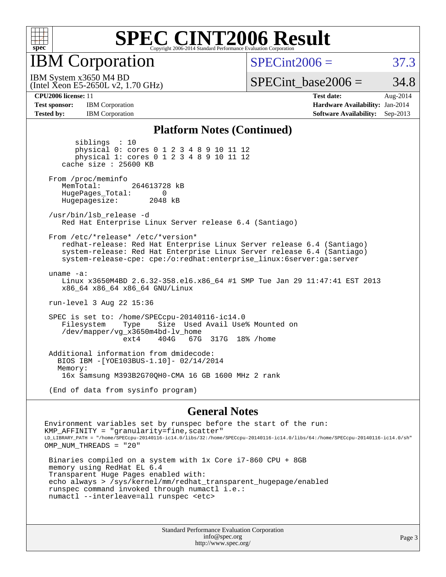

IBM Corporation

 $SPECint2006 = 37.3$  $SPECint2006 = 37.3$ 

(Intel Xeon E5-2650L v2, 1.70 GHz) IBM System x3650 M4 BD

SPECint base2006 =  $34.8$ 

**[Test sponsor:](http://www.spec.org/auto/cpu2006/Docs/result-fields.html#Testsponsor)** IBM Corporation **[Hardware Availability:](http://www.spec.org/auto/cpu2006/Docs/result-fields.html#HardwareAvailability)** Jan-2014

**[CPU2006 license:](http://www.spec.org/auto/cpu2006/Docs/result-fields.html#CPU2006license)** 11 **[Test date:](http://www.spec.org/auto/cpu2006/Docs/result-fields.html#Testdate)** Aug-2014 **[Tested by:](http://www.spec.org/auto/cpu2006/Docs/result-fields.html#Testedby)** IBM Corporation **[Software Availability:](http://www.spec.org/auto/cpu2006/Docs/result-fields.html#SoftwareAvailability)** Sep-2013

#### **[Platform Notes \(Continued\)](http://www.spec.org/auto/cpu2006/Docs/result-fields.html#PlatformNotes)**

 siblings : 10 physical 0: cores 0 1 2 3 4 8 9 10 11 12 physical 1: cores 0 1 2 3 4 8 9 10 11 12 cache size : 25600 KB From /proc/meminfo MemTotal: 264613728 kB HugePages\_Total: 0<br>Hugepagesize: 2048 kB Hugepagesize: /usr/bin/lsb\_release -d Red Hat Enterprise Linux Server release 6.4 (Santiago) From /etc/\*release\* /etc/\*version\* redhat-release: Red Hat Enterprise Linux Server release 6.4 (Santiago) system-release: Red Hat Enterprise Linux Server release 6.4 (Santiago) system-release-cpe: cpe:/o:redhat:enterprise\_linux:6server:ga:server uname -a: Linux x3650M4BD 2.6.32-358.el6.x86\_64 #1 SMP Tue Jan 29 11:47:41 EST 2013 x86\_64 x86\_64 x86\_64 GNU/Linux run-level 3 Aug 22 15:36 SPEC is set to: /home/SPECcpu-20140116-ic14.0 Size Used Avail Use% Mounted on /dev/mapper/vg\_x3650m4bd-lv\_home ext4 404G 67G 317G 18% /home Additional information from dmidecode: BIOS IBM -[YOE103BUS-1.10]- 02/14/2014 Memory: 16x Samsung M393B2G70QH0-CMA 16 GB 1600 MHz 2 rank (End of data from sysinfo program)

#### **[General Notes](http://www.spec.org/auto/cpu2006/Docs/result-fields.html#GeneralNotes)**

Environment variables set by runspec before the start of the run: KMP AFFINITY = "granularity=fine, scatter" LD\_LIBRARY\_PATH = "/home/SPECcpu-20140116-ic14.0/libs/32:/home/SPECcpu-20140116-ic14.0/libs/64:/home/SPECcpu-20140116-ic14.0/sh" OMP\_NUM\_THREADS = "20"

 Binaries compiled on a system with 1x Core i7-860 CPU + 8GB memory using RedHat EL 6.4 Transparent Huge Pages enabled with: echo always > /sys/kernel/mm/redhat\_transparent\_hugepage/enabled runspec command invoked through numactl i.e.: numactl --interleave=all runspec <etc>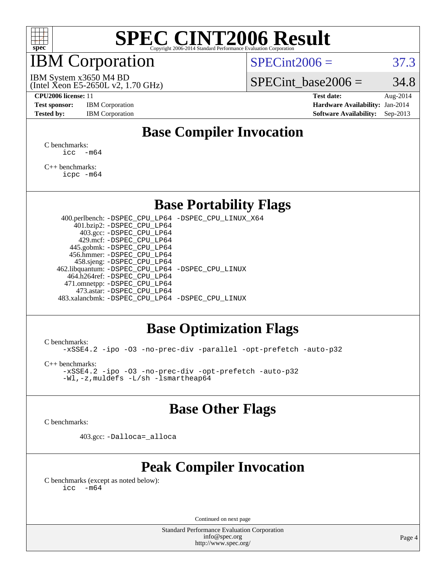

### IBM Corporation

 $SPECint2006 = 37.3$  $SPECint2006 = 37.3$ 

(Intel Xeon E5-2650L v2, 1.70 GHz) IBM System x3650 M4 BD

SPECint base2006 =  $34.8$ 

**[CPU2006 license:](http://www.spec.org/auto/cpu2006/Docs/result-fields.html#CPU2006license)** 11 **[Test date:](http://www.spec.org/auto/cpu2006/Docs/result-fields.html#Testdate)** Aug-2014 **[Test sponsor:](http://www.spec.org/auto/cpu2006/Docs/result-fields.html#Testsponsor)** IBM Corporation **[Hardware Availability:](http://www.spec.org/auto/cpu2006/Docs/result-fields.html#HardwareAvailability)** Jan-2014 **[Tested by:](http://www.spec.org/auto/cpu2006/Docs/result-fields.html#Testedby)** IBM Corporation **[Software Availability:](http://www.spec.org/auto/cpu2006/Docs/result-fields.html#SoftwareAvailability)** Sep-2013

### **[Base Compiler Invocation](http://www.spec.org/auto/cpu2006/Docs/result-fields.html#BaseCompilerInvocation)**

[C benchmarks](http://www.spec.org/auto/cpu2006/Docs/result-fields.html#Cbenchmarks):  $\text{icc}$   $-\text{m64}$ 

[C++ benchmarks:](http://www.spec.org/auto/cpu2006/Docs/result-fields.html#CXXbenchmarks) [icpc -m64](http://www.spec.org/cpu2006/results/res2014q3/cpu2006-20140827-31073.flags.html#user_CXXbase_intel_icpc_64bit_fc66a5337ce925472a5c54ad6a0de310)

#### **[Base Portability Flags](http://www.spec.org/auto/cpu2006/Docs/result-fields.html#BasePortabilityFlags)**

 400.perlbench: [-DSPEC\\_CPU\\_LP64](http://www.spec.org/cpu2006/results/res2014q3/cpu2006-20140827-31073.flags.html#b400.perlbench_basePORTABILITY_DSPEC_CPU_LP64) [-DSPEC\\_CPU\\_LINUX\\_X64](http://www.spec.org/cpu2006/results/res2014q3/cpu2006-20140827-31073.flags.html#b400.perlbench_baseCPORTABILITY_DSPEC_CPU_LINUX_X64) 401.bzip2: [-DSPEC\\_CPU\\_LP64](http://www.spec.org/cpu2006/results/res2014q3/cpu2006-20140827-31073.flags.html#suite_basePORTABILITY401_bzip2_DSPEC_CPU_LP64) 403.gcc: [-DSPEC\\_CPU\\_LP64](http://www.spec.org/cpu2006/results/res2014q3/cpu2006-20140827-31073.flags.html#suite_basePORTABILITY403_gcc_DSPEC_CPU_LP64) 429.mcf: [-DSPEC\\_CPU\\_LP64](http://www.spec.org/cpu2006/results/res2014q3/cpu2006-20140827-31073.flags.html#suite_basePORTABILITY429_mcf_DSPEC_CPU_LP64) 445.gobmk: [-DSPEC\\_CPU\\_LP64](http://www.spec.org/cpu2006/results/res2014q3/cpu2006-20140827-31073.flags.html#suite_basePORTABILITY445_gobmk_DSPEC_CPU_LP64) 456.hmmer: [-DSPEC\\_CPU\\_LP64](http://www.spec.org/cpu2006/results/res2014q3/cpu2006-20140827-31073.flags.html#suite_basePORTABILITY456_hmmer_DSPEC_CPU_LP64) 458.sjeng: [-DSPEC\\_CPU\\_LP64](http://www.spec.org/cpu2006/results/res2014q3/cpu2006-20140827-31073.flags.html#suite_basePORTABILITY458_sjeng_DSPEC_CPU_LP64) 462.libquantum: [-DSPEC\\_CPU\\_LP64](http://www.spec.org/cpu2006/results/res2014q3/cpu2006-20140827-31073.flags.html#suite_basePORTABILITY462_libquantum_DSPEC_CPU_LP64) [-DSPEC\\_CPU\\_LINUX](http://www.spec.org/cpu2006/results/res2014q3/cpu2006-20140827-31073.flags.html#b462.libquantum_baseCPORTABILITY_DSPEC_CPU_LINUX) 464.h264ref: [-DSPEC\\_CPU\\_LP64](http://www.spec.org/cpu2006/results/res2014q3/cpu2006-20140827-31073.flags.html#suite_basePORTABILITY464_h264ref_DSPEC_CPU_LP64) 471.omnetpp: [-DSPEC\\_CPU\\_LP64](http://www.spec.org/cpu2006/results/res2014q3/cpu2006-20140827-31073.flags.html#suite_basePORTABILITY471_omnetpp_DSPEC_CPU_LP64) 473.astar: [-DSPEC\\_CPU\\_LP64](http://www.spec.org/cpu2006/results/res2014q3/cpu2006-20140827-31073.flags.html#suite_basePORTABILITY473_astar_DSPEC_CPU_LP64) 483.xalancbmk: [-DSPEC\\_CPU\\_LP64](http://www.spec.org/cpu2006/results/res2014q3/cpu2006-20140827-31073.flags.html#suite_basePORTABILITY483_xalancbmk_DSPEC_CPU_LP64) [-DSPEC\\_CPU\\_LINUX](http://www.spec.org/cpu2006/results/res2014q3/cpu2006-20140827-31073.flags.html#b483.xalancbmk_baseCXXPORTABILITY_DSPEC_CPU_LINUX)

#### **[Base Optimization Flags](http://www.spec.org/auto/cpu2006/Docs/result-fields.html#BaseOptimizationFlags)**

[C benchmarks](http://www.spec.org/auto/cpu2006/Docs/result-fields.html#Cbenchmarks):

[-xSSE4.2](http://www.spec.org/cpu2006/results/res2014q3/cpu2006-20140827-31073.flags.html#user_CCbase_f-xSSE42_f91528193cf0b216347adb8b939d4107) [-ipo](http://www.spec.org/cpu2006/results/res2014q3/cpu2006-20140827-31073.flags.html#user_CCbase_f-ipo) [-O3](http://www.spec.org/cpu2006/results/res2014q3/cpu2006-20140827-31073.flags.html#user_CCbase_f-O3) [-no-prec-div](http://www.spec.org/cpu2006/results/res2014q3/cpu2006-20140827-31073.flags.html#user_CCbase_f-no-prec-div) [-parallel](http://www.spec.org/cpu2006/results/res2014q3/cpu2006-20140827-31073.flags.html#user_CCbase_f-parallel) [-opt-prefetch](http://www.spec.org/cpu2006/results/res2014q3/cpu2006-20140827-31073.flags.html#user_CCbase_f-opt-prefetch) [-auto-p32](http://www.spec.org/cpu2006/results/res2014q3/cpu2006-20140827-31073.flags.html#user_CCbase_f-auto-p32)

[C++ benchmarks:](http://www.spec.org/auto/cpu2006/Docs/result-fields.html#CXXbenchmarks)

[-xSSE4.2](http://www.spec.org/cpu2006/results/res2014q3/cpu2006-20140827-31073.flags.html#user_CXXbase_f-xSSE42_f91528193cf0b216347adb8b939d4107) [-ipo](http://www.spec.org/cpu2006/results/res2014q3/cpu2006-20140827-31073.flags.html#user_CXXbase_f-ipo) [-O3](http://www.spec.org/cpu2006/results/res2014q3/cpu2006-20140827-31073.flags.html#user_CXXbase_f-O3) [-no-prec-div](http://www.spec.org/cpu2006/results/res2014q3/cpu2006-20140827-31073.flags.html#user_CXXbase_f-no-prec-div) [-opt-prefetch](http://www.spec.org/cpu2006/results/res2014q3/cpu2006-20140827-31073.flags.html#user_CXXbase_f-opt-prefetch) [-auto-p32](http://www.spec.org/cpu2006/results/res2014q3/cpu2006-20140827-31073.flags.html#user_CXXbase_f-auto-p32) [-Wl,-z,muldefs](http://www.spec.org/cpu2006/results/res2014q3/cpu2006-20140827-31073.flags.html#user_CXXbase_link_force_multiple1_74079c344b956b9658436fd1b6dd3a8a) [-L/sh -lsmartheap64](http://www.spec.org/cpu2006/results/res2014q3/cpu2006-20140827-31073.flags.html#user_CXXbase_SmartHeap64_ed4ef857ce90951921efb0d91eb88472)

#### **[Base Other Flags](http://www.spec.org/auto/cpu2006/Docs/result-fields.html#BaseOtherFlags)**

[C benchmarks](http://www.spec.org/auto/cpu2006/Docs/result-fields.html#Cbenchmarks):

403.gcc: [-Dalloca=\\_alloca](http://www.spec.org/cpu2006/results/res2014q3/cpu2006-20140827-31073.flags.html#b403.gcc_baseEXTRA_CFLAGS_Dalloca_be3056838c12de2578596ca5467af7f3)

### **[Peak Compiler Invocation](http://www.spec.org/auto/cpu2006/Docs/result-fields.html#PeakCompilerInvocation)**

[C benchmarks \(except as noted below\)](http://www.spec.org/auto/cpu2006/Docs/result-fields.html#Cbenchmarksexceptasnotedbelow):  $\text{icc}$  -m64

Continued on next page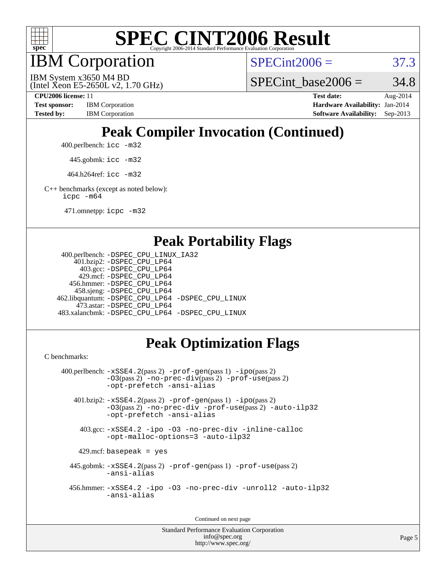

IBM Corporation

 $SPECint2006 = 37.3$  $SPECint2006 = 37.3$ 

(Intel Xeon E5-2650L v2, 1.70 GHz) IBM System x3650 M4 BD

SPECint base2006 =  $34.8$ 

**[CPU2006 license:](http://www.spec.org/auto/cpu2006/Docs/result-fields.html#CPU2006license)** 11 **[Test date:](http://www.spec.org/auto/cpu2006/Docs/result-fields.html#Testdate)** Aug-2014 **[Test sponsor:](http://www.spec.org/auto/cpu2006/Docs/result-fields.html#Testsponsor)** IBM Corporation **[Hardware Availability:](http://www.spec.org/auto/cpu2006/Docs/result-fields.html#HardwareAvailability)** Jan-2014 [Tested by:](http://www.spec.org/auto/cpu2006/Docs/result-fields.html#Testedby) IBM Corporation **[Software Availability:](http://www.spec.org/auto/cpu2006/Docs/result-fields.html#SoftwareAvailability)** Sep-2013

## **[Peak Compiler Invocation \(Continued\)](http://www.spec.org/auto/cpu2006/Docs/result-fields.html#PeakCompilerInvocation)**

400.perlbench: [icc -m32](http://www.spec.org/cpu2006/results/res2014q3/cpu2006-20140827-31073.flags.html#user_peakCCLD400_perlbench_intel_icc_a6a621f8d50482236b970c6ac5f55f93)

445.gobmk: [icc -m32](http://www.spec.org/cpu2006/results/res2014q3/cpu2006-20140827-31073.flags.html#user_peakCCLD445_gobmk_intel_icc_a6a621f8d50482236b970c6ac5f55f93)

464.h264ref: [icc -m32](http://www.spec.org/cpu2006/results/res2014q3/cpu2006-20140827-31073.flags.html#user_peakCCLD464_h264ref_intel_icc_a6a621f8d50482236b970c6ac5f55f93)

[C++ benchmarks \(except as noted below\):](http://www.spec.org/auto/cpu2006/Docs/result-fields.html#CXXbenchmarksexceptasnotedbelow) [icpc -m64](http://www.spec.org/cpu2006/results/res2014q3/cpu2006-20140827-31073.flags.html#user_CXXpeak_intel_icpc_64bit_fc66a5337ce925472a5c54ad6a0de310)

471.omnetpp: [icpc -m32](http://www.spec.org/cpu2006/results/res2014q3/cpu2006-20140827-31073.flags.html#user_peakCXXLD471_omnetpp_intel_icpc_4e5a5ef1a53fd332b3c49e69c3330699)

#### **[Peak Portability Flags](http://www.spec.org/auto/cpu2006/Docs/result-fields.html#PeakPortabilityFlags)**

```
 400.perlbench: -DSPEC_CPU_LINUX_IA32
    401.bzip2: -DSPEC_CPU_LP64
      403.gcc: -DSPEC_CPU_LP64
     429.mcf: -DSPEC_CPU_LP64
   456.hmmer: -DSPEC_CPU_LP64
    458.sjeng: -DSPEC_CPU_LP64
462.libquantum: -DSPEC_CPU_LP64 -DSPEC_CPU_LINUX
     473.astar: -DSPEC_CPU_LP64
483.xalancbmk: -DSPEC_CPU_LP64 -DSPEC_CPU_LINUX
```
## **[Peak Optimization Flags](http://www.spec.org/auto/cpu2006/Docs/result-fields.html#PeakOptimizationFlags)**

[C benchmarks](http://www.spec.org/auto/cpu2006/Docs/result-fields.html#Cbenchmarks):

```
 400.perlbench: -xSSE4.2(pass 2) -prof-gen(pass 1) -ipo(pass 2)
           -O3(pass 2) -no-prec-div(pass 2) -prof-use(pass 2)
          -opt-prefetch -ansi-alias
   401.bzip2: -xSSE4.2(pass 2) -prof-gen(pass 1) -ipo(pass 2)
           -O3(pass 2) -no-prec-div -prof-use(pass 2) -auto-ilp32
           -opt-prefetch -ansi-alias
    403.gcc: -xSSE4.2 -ipo -O3 -no-prec-div -inline-calloc
           -opt-malloc-options=3 -auto-ilp32
   429.mcf: basepeak = yes
  445.gobmk: -xSSE4.2(pass 2) -prof-gen(pass 1) -prof-use(pass 2)
           -ansi-alias
  456.hmmer: -xSSE4.2 -ipo -O3 -no-prec-div -unroll2 -auto-ilp32
           -ansi-alias
```
Continued on next page